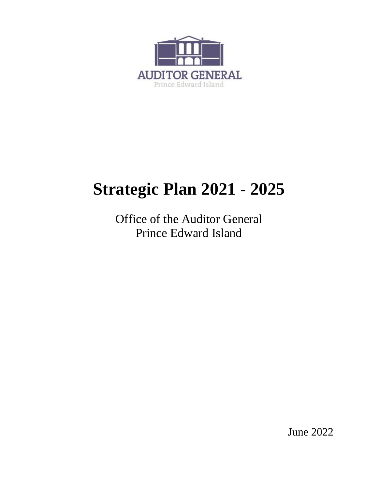

# **Strategic Plan 2021 - 2025**

Office of the Auditor General Prince Edward Island

June 2022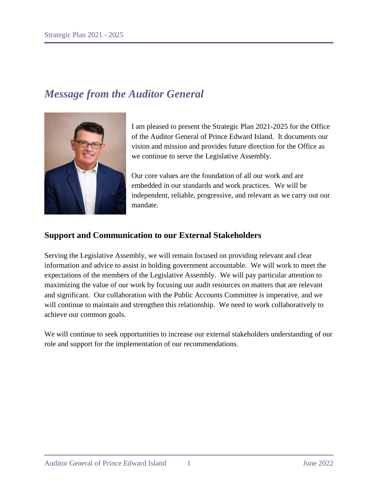# *Message from the Auditor General*



I am pleased to present the Strategic Plan 2021-2025 for the Office of the Auditor General of Prince Edward Island. It documents our vision and mission and provides future direction for the Office as we continue to serve the Legislative Assembly.

Our core values are the foundation of all our work and are embedded in our standards and work practices. We will be independent, reliable, progressive, and relevant as we carry out our mandate.

# **Support and Communication to our External Stakeholders**

Serving the Legislative Assembly, we will remain focused on providing relevant and clear information and advice to assist in holding government accountable. We will work to meet the expectations of the members of the Legislative Assembly. We will pay particular attention to maximizing the value of our work by focusing our audit resources on matters that are relevant and significant. Our collaboration with the Public Accounts Committee is imperative, and we will continue to maintain and strengthen this relationship. We need to work collaboratively to achieve our common goals.

We will continue to seek opportunities to increase our external stakeholders understanding of our role and support for the implementation of our recommendations.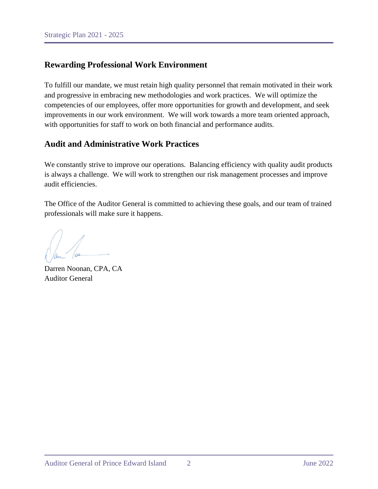# **Rewarding Professional Work Environment**

To fulfill our mandate, we must retain high quality personnel that remain motivated in their work and progressive in embracing new methodologies and work practices. We will optimize the competencies of our employees, offer more opportunities for growth and development, and seek improvements in our work environment. We will work towards a more team oriented approach, with opportunities for staff to work on both financial and performance audits.

# **Audit and Administrative Work Practices**

We constantly strive to improve our operations. Balancing efficiency with quality audit products is always a challenge. We will work to strengthen our risk management processes and improve audit efficiencies.

The Office of the Auditor General is committed to achieving these goals, and our team of trained professionals will make sure it happens.

Darren Noonan, CPA, CA Auditor General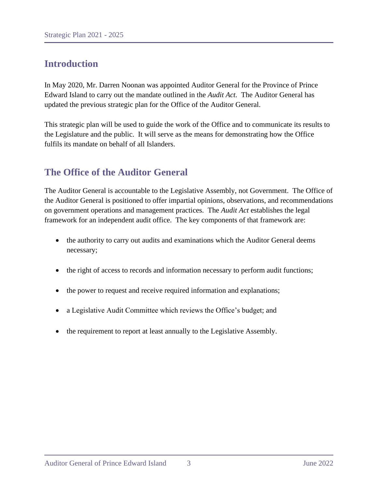# **Introduction**

In May 2020, Mr. Darren Noonan was appointed Auditor General for the Province of Prince Edward Island to carry out the mandate outlined in the *Audit Act.* The Auditor General has updated the previous strategic plan for the Office of the Auditor General.

This strategic plan will be used to guide the work of the Office and to communicate its results to the Legislature and the public. It will serve as the means for demonstrating how the Office fulfils its mandate on behalf of all Islanders.

# **The Office of the Auditor General**

The Auditor General is accountable to the Legislative Assembly, not Government. The Office of the Auditor General is positioned to offer impartial opinions, observations, and recommendations on government operations and management practices. The *Audit Act* establishes the legal framework for an independent audit office. The key components of that framework are:

- the authority to carry out audits and examinations which the Auditor General deems necessary;
- the right of access to records and information necessary to perform audit functions;
- the power to request and receive required information and explanations;
- a Legislative Audit Committee which reviews the Office's budget; and
- the requirement to report at least annually to the Legislative Assembly.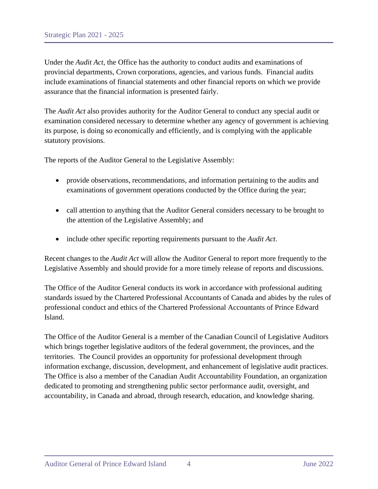Under the *Audit Act*, the Office has the authority to conduct audits and examinations of provincial departments, Crown corporations, agencies, and various funds. Financial audits include examinations of financial statements and other financial reports on which we provide assurance that the financial information is presented fairly.

The *Audit Act* also provides authority for the Auditor General to conduct any special audit or examination considered necessary to determine whether any agency of government is achieving its purpose, is doing so economically and efficiently, and is complying with the applicable statutory provisions.

The reports of the Auditor General to the Legislative Assembly:

- provide observations, recommendations, and information pertaining to the audits and examinations of government operations conducted by the Office during the year;
- call attention to anything that the Auditor General considers necessary to be brought to the attention of the Legislative Assembly; and
- include other specific reporting requirements pursuant to the *Audit Act*.

Recent changes to the *Audit Act* will allow the Auditor General to report more frequently to the Legislative Assembly and should provide for a more timely release of reports and discussions.

The Office of the Auditor General conducts its work in accordance with professional auditing standards issued by the Chartered Professional Accountants of Canada and abides by the rules of professional conduct and ethics of the Chartered Professional Accountants of Prince Edward Island.

The Office of the Auditor General is a member of the Canadian Council of Legislative Auditors which brings together legislative auditors of the federal government, the provinces, and the territories. The Council provides an opportunity for professional development through information exchange, discussion, development, and enhancement of legislative audit practices. The Office is also a member of the Canadian Audit Accountability Foundation, an organization dedicated to promoting and strengthening public sector performance audit, oversight, and accountability, in Canada and abroad, through research, education, and knowledge sharing.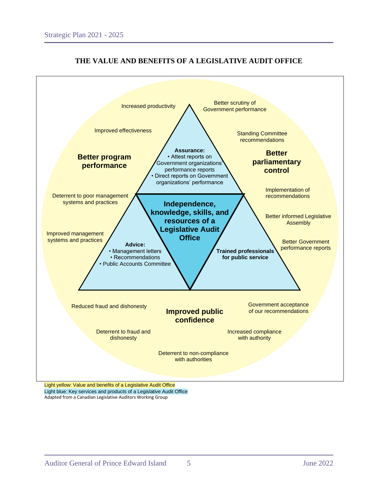

# **THE VALUE AND BENEFITS OF A LEGISLATIVE AUDIT OFFICE**

Light blue: Key services and products of a Legislative Audit Office Adapted from a Canadian Legislative Auditors Working Group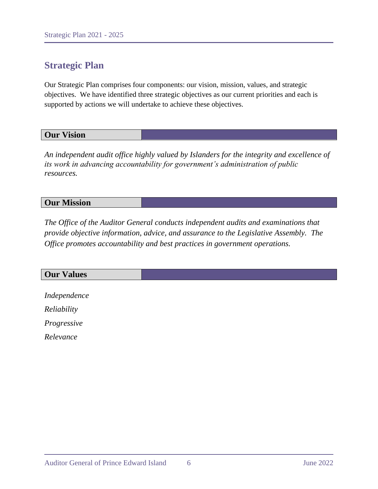# **Strategic Plan**

Our Strategic Plan comprises four components: our vision, mission, values, and strategic objectives. We have identified three strategic objectives as our current priorities and each is supported by actions we will undertake to achieve these objectives.

## **Our Vision**

*An independent audit office highly valued by Islanders for the integrity and excellence of its work in advancing accountability for government's administration of public resources.* 

## **Our Mission**

*The Office of the Auditor General conducts independent audits and examinations that provide objective information, advice, and assurance to the Legislative Assembly. The Office promotes accountability and best practices in government operations.*

# **Our Values**

*Independence Reliability Progressive*

*Relevance*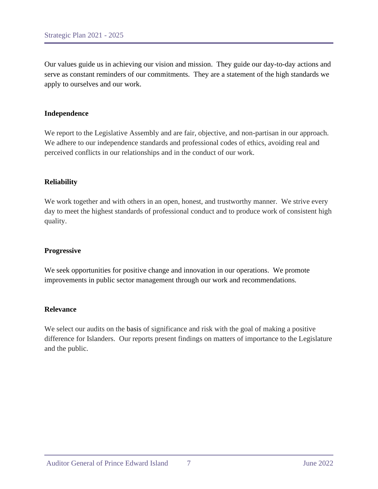Our values guide us in achieving our vision and mission. They guide our day-to-day actions and serve as constant reminders of our commitments. They are a statement of the high standards we apply to ourselves and our work.

#### **Independence**

We report to the Legislative Assembly and are fair, objective, and non-partisan in our approach. We adhere to our independence standards and professional codes of ethics, avoiding real and perceived conflicts in our relationships and in the conduct of our work.

#### **Reliability**

We work together and with others in an open, honest, and trustworthy manner. We strive every day to meet the highest standards of professional conduct and to produce work of consistent high quality.

#### **Progressive**

We seek opportunities for positive change and innovation in our operations. We promote improvements in public sector management through our work and recommendations*.* 

#### **Relevance**

We select our audits on the basis of significance and risk with the goal of making a positive difference for Islanders. Our reports present findings on matters of importance to the Legislature and the public.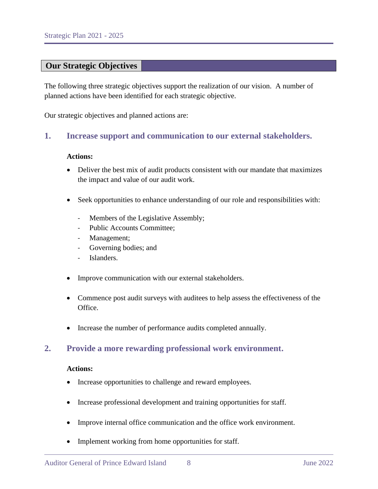## **Our Strategic Objectives**

The following three strategic objectives support the realization of our vision. A number of planned actions have been identified for each strategic objective.

Our strategic objectives and planned actions are:

## **1. Increase support and communication to our external stakeholders.**

#### **Actions:**

- Deliver the best mix of audit products consistent with our mandate that maximizes the impact and value of our audit work.
- Seek opportunities to enhance understanding of our role and responsibilities with:
	- Members of the Legislative Assembly;
	- Public Accounts Committee;
	- Management;
	- Governing bodies; and
	- Islanders.
- Improve communication with our external stakeholders.
- Commence post audit surveys with auditees to help assess the effectiveness of the Office.
- Increase the number of performance audits completed annually.

#### **2. Provide a more rewarding professional work environment.**

#### **Actions:**

- Increase opportunities to challenge and reward employees.
- Increase professional development and training opportunities for staff.
- Improve internal office communication and the office work environment.
- Implement working from home opportunities for staff.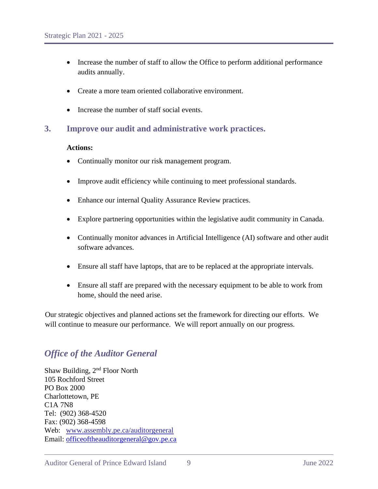- Increase the number of staff to allow the Office to perform additional performance audits annually.
- Create a more team oriented collaborative environment.
- Increase the number of staff social events.

# **3. Improve our audit and administrative work practices.**

#### **Actions:**

- Continually monitor our risk management program.
- Improve audit efficiency while continuing to meet professional standards.
- Enhance our internal Quality Assurance Review practices.
- Explore partnering opportunities within the legislative audit community in Canada.
- Continually monitor advances in Artificial Intelligence (AI) software and other audit software advances.
- Ensure all staff have laptops, that are to be replaced at the appropriate intervals.
- Ensure all staff are prepared with the necessary equipment to be able to work from home, should the need arise.

Our strategic objectives and planned actions set the framework for directing our efforts. We will continue to measure our performance. We will report annually on our progress.

# *Office of the Auditor General*

Shaw Building, 2<sup>nd</sup> Floor North 105 Rochford Street PO Box 2000 Charlottetown, PE C1A 7N8 Tel: (902) 368-4520 Fax: (902) 368-4598 Web: [www.assembly.pe.ca/auditorgeneral](http://www.assembly.pe.ca/auditorgeneral) Email: [officeoftheauditorgeneral@gov.pe.ca](mailto:officeoftheauditorgeneral@gov.pe.ca)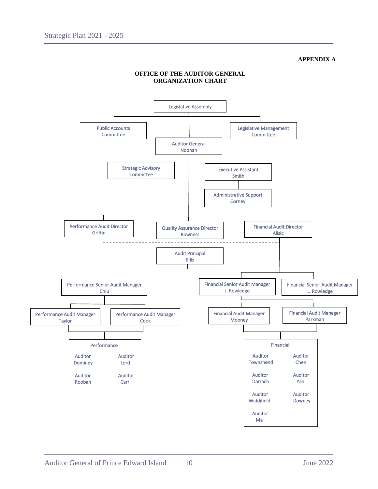#### **APPENDIX A**



#### **OFFICE OF THE AUDITOR GENERAL ORGANIZATION CHART**